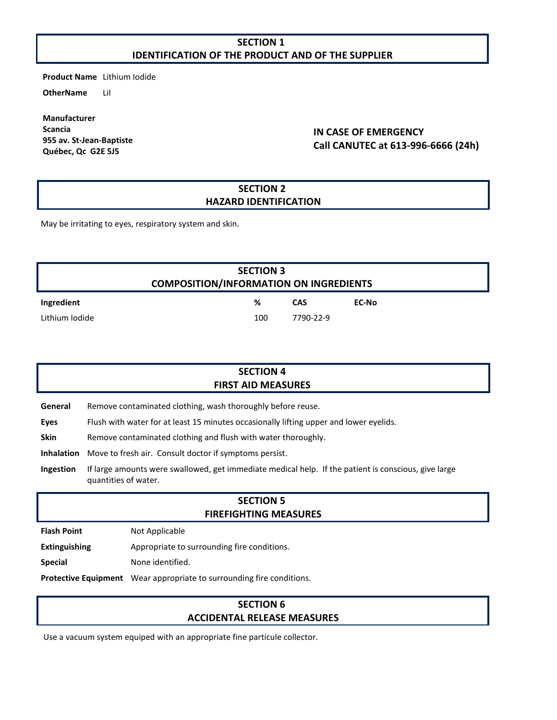### **SECTION 1 IDENTIFICATION OF THE PRODUCT AND OF THE SUPPLIER**

**Product Name** Lithium Iodide

**OtherName** LiI

**Manufacturer Scancia 955 av. St-Jean-Baptiste Québec, Qc G2E 5J5**

### **IN CASE OF EMERGENCY Call CANUTEC at 613-996-6666 (24h)**

#### **SECTION 2 HAZARD IDENTIFICATION**

May be irritating to eyes, respiratory system and skin.

|                | <b>SECTION 3</b><br><b>COMPOSITION/INFORMATION ON INGREDIENTS</b> |            |       |
|----------------|-------------------------------------------------------------------|------------|-------|
| Ingredient     | %                                                                 | <b>CAS</b> | EC-No |
| Lithium Iodide | 100                                                               | 7790-22-9  |       |

| <b>SECTION 4</b><br><b>FIRST AID MEASURES</b> |                                                                                        |  |
|-----------------------------------------------|----------------------------------------------------------------------------------------|--|
| General                                       | Remove contaminated clothing, wash thoroughly before reuse.                            |  |
| Eyes                                          | Flush with water for at least 15 minutes occasionally lifting upper and lower eyelids. |  |

**Skin** Remove contaminated clothing and flush with water thoroughly.

**Inhalation** Move to fresh air. Consult doctor if symptoms persist.

**Ingestion** If large amounts were swallowed, get immediate medical help. If the patient is conscious, give large quantities of water.

## **SECTION 5 FIREFIGHTING MEASURES**

**Flash Point** Not Applicable

**Extinguishing** Appropriate to surrounding fire conditions.

**Special** None identified.

**Protective Equipment** Wear appropriate to surrounding fire conditions.

#### **SECTION 6 ACCIDENTAL RELEASE MEASURES**

Use a vacuum system equiped with an appropriate fine particule collector.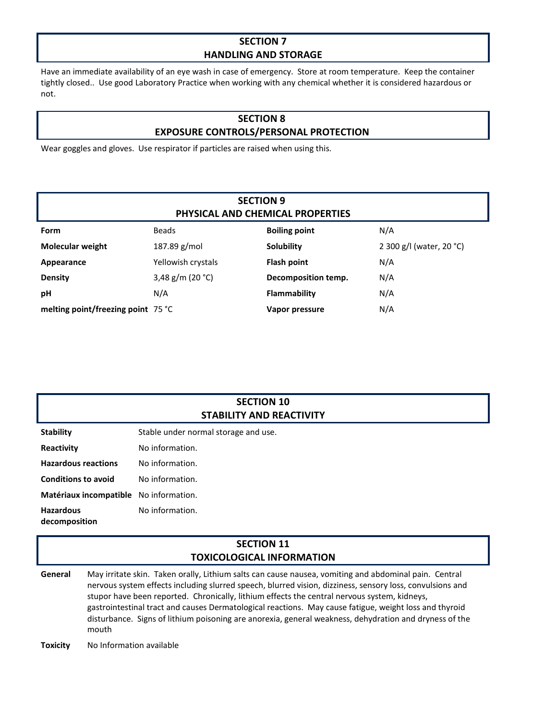## **SECTION 7 HANDLING AND STORAGE**

Have an immediate availability of an eye wash in case of emergency. Store at room temperature. Keep the container tightly closed.. Use good Laboratory Practice when working with any chemical whether it is considered hazardous or not.

## **SECTION 8 EXPOSURE CONTROLS/PERSONAL PROTECTION**

Wear goggles and gloves. Use respirator if particles are raised when using this.

| <b>SECTION 9</b><br>PHYSICAL AND CHEMICAL PROPERTIES |                    |                      |                          |  |  |
|------------------------------------------------------|--------------------|----------------------|--------------------------|--|--|
| Form                                                 | <b>Beads</b>       | <b>Boiling point</b> | N/A                      |  |  |
| <b>Molecular weight</b>                              | 187.89 $g/mol$     | <b>Solubility</b>    | 2 300 g/l (water, 20 °C) |  |  |
| Appearance                                           | Yellowish crystals | Flash point          | N/A                      |  |  |
| <b>Density</b>                                       | 3,48 g/m (20 °C)   | Decomposition temp.  | N/A                      |  |  |
| рH                                                   | N/A                | Flammability         | N/A                      |  |  |
| melting point/freezing point 75 °C                   |                    | Vapor pressure       | N/A                      |  |  |

| <b>SECTION 10</b>               |  |  |
|---------------------------------|--|--|
| <b>STABILITY AND REACTIVITY</b> |  |  |

**Stability** Stable under normal storage and use.

**Reactivity** No information.

**Hazardous reactions** No information.

**Conditions to avoid** No information.

**Matériaux incompatible** No information.

**Hazardous decomposition**  No information.

### **SECTION 11 TOXICOLOGICAL INFORMATION**

**General** May irritate skin. Taken orally, Lithium salts can cause nausea, vomiting and abdominal pain. Central nervous system effects including slurred speech, blurred vision, dizziness, sensory loss, convulsions and stupor have been reported. Chronically, lithium effects the central nervous system, kidneys, gastrointestinal tract and causes Dermatological reactions. May cause fatigue, weight loss and thyroid disturbance. Signs of lithium poisoning are anorexia, general weakness, dehydration and dryness of the mouth

**Toxicity** No Information available